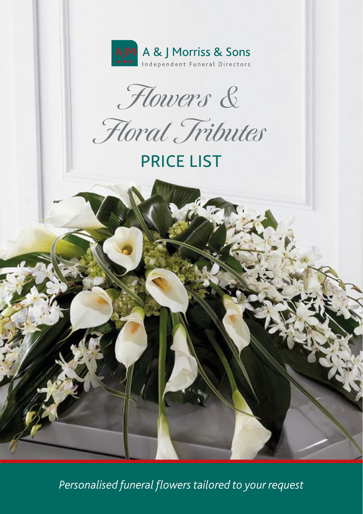

Flowers &

Floral Tributes

# PRICE LIST

*Personalised funeral flowers tailored to your request*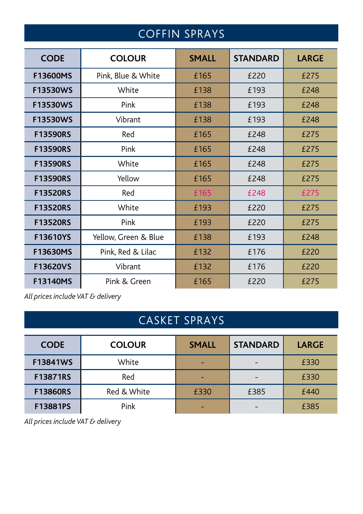## COFFIN SPRAYS

| <b>CODE</b>     | <b>COLOUR</b>        | <b>SMALL</b> | <b>STANDARD</b> | <b>LARGE</b> |
|-----------------|----------------------|--------------|-----------------|--------------|
| F13600MS        | Pink, Blue & White   | £165         | £220            | £275         |
| F13530WS        | White                | £138         | £193            | £248         |
| F13530WS        | Pink                 | £138         | £193            | £248         |
| F13530WS        | Vibrant              | £138         | £193            | £248         |
| <b>F13590RS</b> | Red                  | £165         | £248            | £275         |
| <b>F13590RS</b> | Pink                 | £165         | £248            | £275         |
| <b>F13590RS</b> | White                | £165         | £248            | £275         |
| <b>F13590RS</b> | Yellow               | £165         | £248            | £275         |
| <b>F13520RS</b> | Red                  | £165         | £248            | £275         |
| <b>F13520RS</b> | White                | £193         | £220            | £275         |
| <b>F13520RS</b> | Pink                 | £193         | £220            | £275         |
| F13610YS        | Yellow, Green & Blue | £138         | £193            | £248         |
| F13630MS        | Pink, Red & Lilac    | £132         | £176            | £220         |
| F13620VS        | Vibrant              | £132         | £176            | £220         |
| <b>F13140MS</b> | Pink & Green         | £165         | £220            | £275         |

*All prices include VAT & delivery*

### CASKET SPRAYS

| <b>CODE</b>     | <b>COLOUR</b> | <b>SMALL</b> | <b>STANDARD</b> | <b>LARGE</b> |
|-----------------|---------------|--------------|-----------------|--------------|
| <b>F13841WS</b> | White         | -            |                 | £330         |
| F13871RS        | Red           | -            |                 | £330         |
| <b>F13860RS</b> | Red & White   | £330         | £385            | £440         |
| F13881PS        | Pink          | -            |                 | £385         |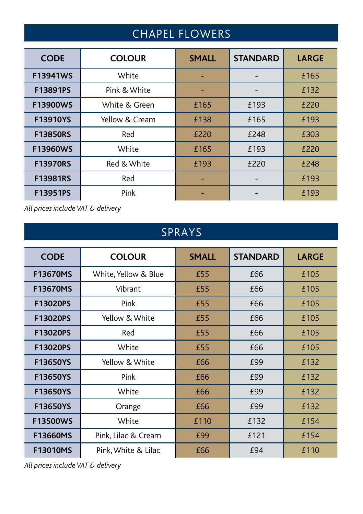## CHAPEL FLOWERS

| <b>CODE</b>     | <b>COLOUR</b>  | <b>SMALL</b> | <b>STANDARD</b> | <b>LARGE</b> |
|-----------------|----------------|--------------|-----------------|--------------|
| <b>F13941WS</b> | White          |              |                 | £165         |
| F13891PS        | Pink & White   |              |                 | £132         |
| <b>F13900WS</b> | White & Green  | £165         | £193            | £220         |
| F13910YS        | Yellow & Cream | £138         | £165            | £193         |
| <b>F13850RS</b> | Red            | £220         | £248            | £303         |
| <b>F13960WS</b> | White          | £165         | £193            | £220         |
| <b>F13970RS</b> | Red & White    | £193         | £220            | £248         |
| <b>F13981RS</b> | Red            |              |                 | £193         |
| F13951PS        | Pink           |              |                 | £193         |

*All prices include VAT & delivery*

### SPRAYS

| <b>CODE</b>     | <b>COLOUR</b>        | <b>SMALL</b> | <b>STANDARD</b> | <b>LARGE</b> |
|-----------------|----------------------|--------------|-----------------|--------------|
| <b>F13670MS</b> | White, Yellow & Blue | £55          | £66             | £105         |
| <b>F13670MS</b> | Vibrant              | £55          | £66             | £105         |
| F13020PS        | Pink                 | £55          | £66             | £105         |
| F13020PS        | Yellow & White       | £55          | £66             | £105         |
| <b>F13020PS</b> | Red                  | £55          | £66             | £105         |
| <b>F13020PS</b> | White                | £55          | £66             | £105         |
| <b>F13650YS</b> | Yellow & White       | £66          | £99             | £132         |
| F13650YS        | Pink                 | £66          | £99             | £132         |
| F13650YS        | White                | £66          | £99             | £132         |
| <b>F13650YS</b> | Orange               | £66          | £99             | £132         |
| <b>F13500WS</b> | White                | £110         | £132            | £154         |
| F13660MS        | Pink, Lilac & Cream  | £99          | £121            | £154         |
| <b>F13010MS</b> | Pink, White & Lilac  | £66          | £94             | £110         |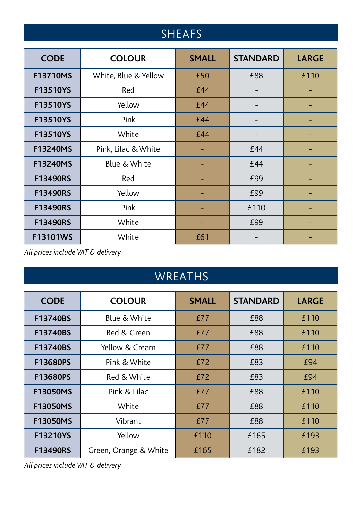### SHEAFS

| <b>CODE</b>     | <b>COLOUR</b>        | <b>SMALL</b> | <b>STANDARD</b> | <b>LARGE</b> |
|-----------------|----------------------|--------------|-----------------|--------------|
| <b>F13710MS</b> | White, Blue & Yellow | £50          | £88             | £110         |
| <b>F13510YS</b> | Red                  | £44          |                 |              |
| <b>F13510YS</b> | Yellow               | £44          |                 |              |
| <b>F13510YS</b> | Pink                 | £44          |                 |              |
| F13510YS        | White                | £44          |                 |              |
| <b>F13240MS</b> | Pink, Lilac & White  |              | £44             |              |
| <b>F13240MS</b> | Blue & White         |              | £44             |              |
| <b>F13490RS</b> | Red                  |              | £99             |              |
| <b>F13490RS</b> | Yellow               |              | £99             |              |
| <b>F13490RS</b> | Pink                 |              | £110            |              |
| <b>F13490RS</b> | White                |              | £99             |              |
| F13101WS        | White                | £61          |                 |              |

*All prices include VAT & delivery*

### WREATHS

| <b>CODE</b>     | <b>COLOUR</b>         | <b>SMALL</b> | <b>STANDARD</b> | <b>LARGE</b> |
|-----------------|-----------------------|--------------|-----------------|--------------|
| F13740BS        | Blue & White          | £77          | £88             | £110         |
| F13740BS        | Red & Green           | £77          | £88             | £110         |
| <b>F13740BS</b> | Yellow & Cream        | £77          | £88             | £110         |
| F13680PS        | Pink & White          | £72          | £83             | £94          |
| F13680PS        | Red & White           | £72          | £83             | £94          |
| F13050MS        | Pink & Lilac          | £77          | £88             | £110         |
| <b>F13050MS</b> | White                 | £77          | £88             | £110         |
| <b>F13050MS</b> | Vibrant               | £77          | £88             | £110         |
| F13210YS        | Yellow                | £110         | £165            | £193         |
| <b>F13490RS</b> | Green, Orange & White | £165         | £182            | £193         |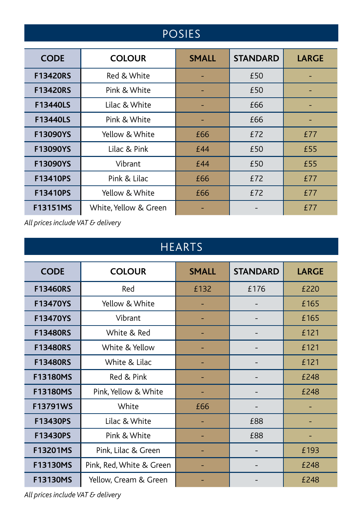### POSIES

| <b>CODE</b>     | <b>COLOUR</b>        | <b>SMALL</b> | <b>STANDARD</b> | <b>LARGE</b> |
|-----------------|----------------------|--------------|-----------------|--------------|
| <b>F13420RS</b> | Red & White          |              | £50             |              |
| <b>F13420RS</b> | Pink & White         |              | £50             |              |
| <b>F13440LS</b> | Lilac & White        |              | £66             |              |
| <b>F13440LS</b> | Pink & White         |              | £66             |              |
| F13090YS        | Yellow & White       | £66          | £72             | £77          |
| F13090YS        | Lilac & Pink         | £44          | £50             | £55          |
| F13090YS        | Vibrant              | £44          | £50             | £55          |
| F13410PS        | Pink & Lilac         | £66          | £72             | £77          |
| F13410PS        | Yellow & White       | £66          | £72             | £77          |
| <b>F13151MS</b> | White Yellow & Green |              |                 | £77          |

*All prices include VAT & delivery*

### HEARTS

| <b>CODE</b>     | <b>COLOUR</b>            | <b>SMALL</b> | <b>STANDARD</b> | <b>LARGE</b> |
|-----------------|--------------------------|--------------|-----------------|--------------|
| <b>F13460RS</b> | Red                      | £132         | £176            | £220         |
| F13470YS        | Yellow & White           |              |                 | £165         |
| F13470YS        | Vibrant                  |              |                 | £165         |
| <b>F13480RS</b> | White & Red              |              |                 | £121         |
| <b>F13480RS</b> | White & Yellow           |              |                 | £121         |
| <b>F13480RS</b> | White & Lilac            |              |                 | £121         |
| F13180MS        | Red & Pink               |              |                 | £248         |
| <b>F13180MS</b> | Pink, Yellow & White     |              |                 | £248         |
| <b>F13791WS</b> | White                    | £66          |                 |              |
| F13430PS        | Lilac & White            |              | £88             |              |
| F13430PS        | Pink & White             |              | £88             |              |
| <b>F13201MS</b> | Pink, Lilac & Green      |              |                 | £193         |
| F13130MS        | Pink, Red, White & Green |              |                 | £248         |
| F13130MS        | Yellow, Cream & Green    |              |                 | £248         |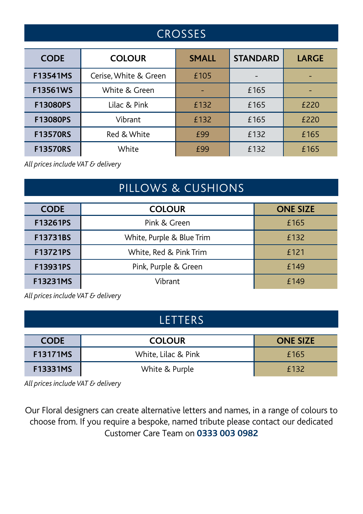### **CROSSES**

| <b>CODE</b>     | <b>COLOUR</b>         | <b>SMALL</b> | <b>STANDARD</b> | <b>LARGE</b> |
|-----------------|-----------------------|--------------|-----------------|--------------|
| <b>F13541MS</b> | Cerise, White & Green | £105         |                 |              |
| <b>F13561WS</b> | White & Green         |              | £165            |              |
| <b>F13080PS</b> | Lilac & Pink          | £132         | £165            | £220         |
| <b>F13080PS</b> | Vibrant               | £132         | £165            | £220         |
| <b>F13570RS</b> | Red & White           | £99          | £132            | £165         |
| <b>F13570RS</b> | White                 | <b>£99</b>   | £132            | £165         |

*All prices include VAT & delivery*

#### PILLOWS & CUSHIONS

| <b>CODE</b>     | <b>COLOUR</b>             | <b>ONE SIZE</b> |
|-----------------|---------------------------|-----------------|
| F13261PS        | Pink & Green              | £165            |
| F13731BS        | White, Purple & Blue Trim | £132            |
| <b>F13721PS</b> | White, Red & Pink Trim    | f 121           |
| F13931PS        | Pink, Purple & Green      | £149            |
| <b>F13231MS</b> | Vibrant                   | f 149           |

*All prices include VAT & delivery*

#### LETTERS

| <b>CODE</b>     | <b>COLOUR</b>       | <b>ONE SIZE</b> |
|-----------------|---------------------|-----------------|
| <b>F13171MS</b> | White. Lilac & Pink | £165            |
| <b>F13331MS</b> | White & Purple      | f 132           |

*All prices include VAT & delivery*

Our Floral designers can create alternative letters and names, in a range of colours to choose from. If you require a bespoke, named tribute please contact our dedicated Customer Care Team on **0333 003 0982**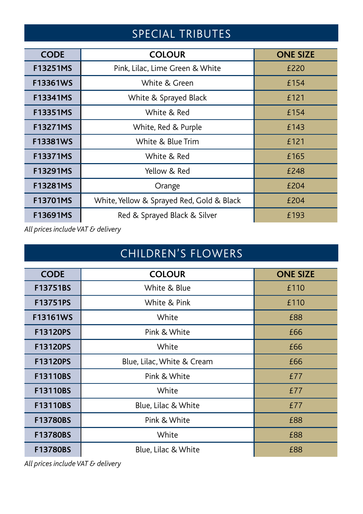### SPECIAL TRIBUTES

| <b>CODE</b>     | <b>COLOUR</b>                             | <b>ONE SIZE</b> |
|-----------------|-------------------------------------------|-----------------|
| <b>F13251MS</b> | Pink, Lilac, Lime Green & White           | £220            |
| F13361WS        | White & Green                             | £154            |
| F13341MS        | White & Sprayed Black                     | £121            |
| F13351MS        | White & Red                               | £154            |
| F13271MS        | White, Red & Purple                       | £143            |
| F13381WS        | White & Blue Trim                         | £121            |
| <b>F13371MS</b> | White & Red                               | £165            |
| <b>F13291MS</b> | Yellow & Red                              | £248            |
| <b>F13281MS</b> | Orange                                    | £204            |
| F13701MS        | White, Yellow & Sprayed Red, Gold & Black | £204            |
| F13691MS        | Red & Sprayed Black & Silver              | £193            |

*All prices include VAT & delivery*

### CHILDREN'S FLOWERS

| <b>CODE</b>     | <b>COLOUR</b>              | <b>ONE SIZE</b> |
|-----------------|----------------------------|-----------------|
| F13751BS        | White & Blue               | £110            |
| F13751PS        | White & Pink               | £110            |
| <b>F13161WS</b> | White                      | £88             |
| F13120PS        | Pink & White               | £66             |
| F13120PS        | White                      | £66             |
| <b>F13120PS</b> | Blue, Lilac, White & Cream | £66             |
| F13110BS        | Pink & White               | £77             |
| F13110BS        | White                      | £77             |
| <b>F13110BS</b> | Blue, Lilac & White        | £77             |
| F13780BS        | Pink & White               | £88             |
| <b>F13780BS</b> | White                      | £88             |
| <b>F13780BS</b> | Blue, Lilac & White        | £88             |